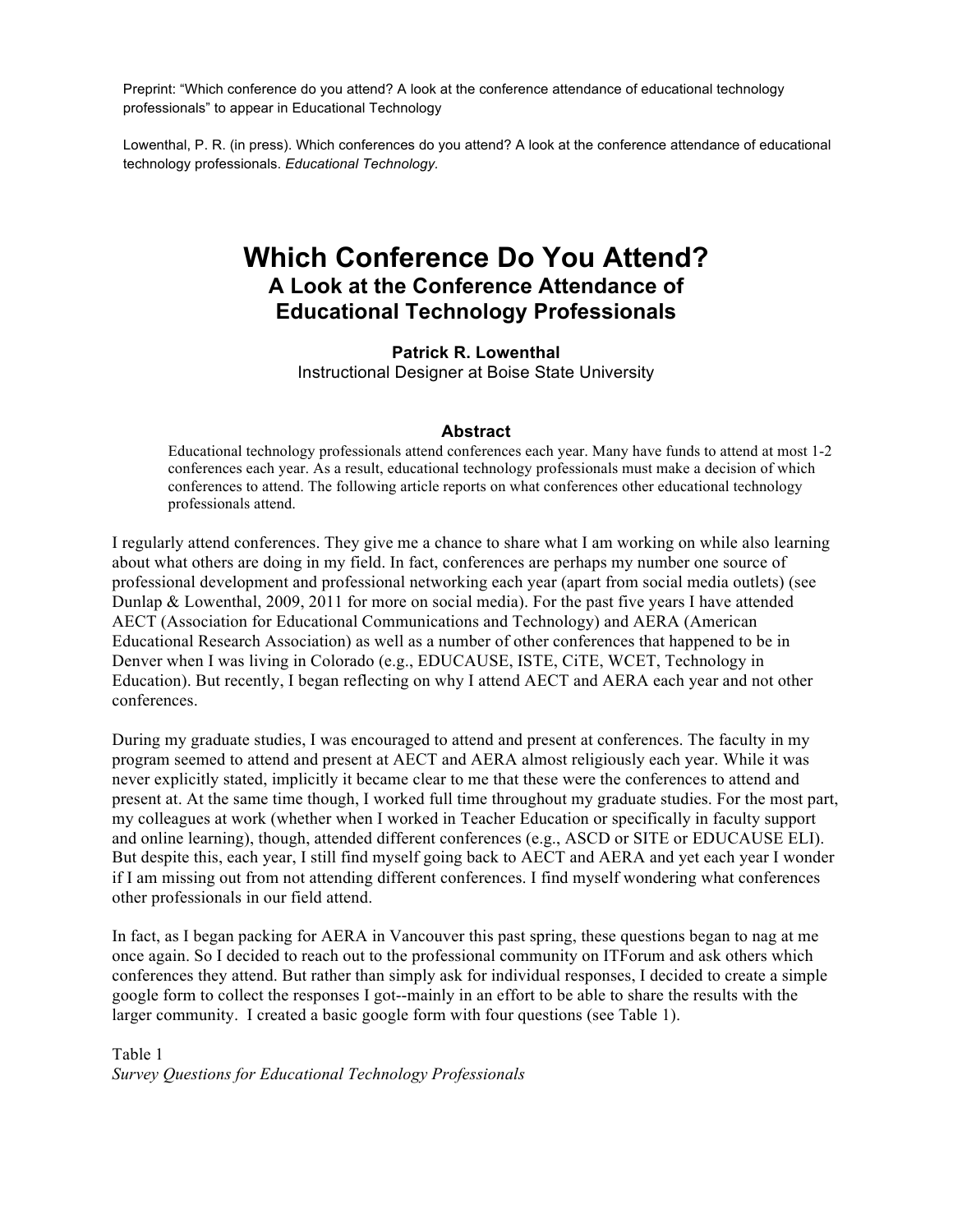Preprint: "Which conference do you attend? A look at the conference attendance of educational technology professionals" to appear in Educational Technology

Lowenthal, P. R. (in press). Which conferences do you attend? A look at the conference attendance of educational technology professionals. *Educational Technology.*

# **Which Conference Do You Attend? A Look at the Conference Attendance of Educational Technology Professionals**

**Patrick R. Lowenthal** Instructional Designer at Boise State University

#### **Abstract**

Educational technology professionals attend conferences each year. Many have funds to attend at most 1-2 conferences each year. As a result, educational technology professionals must make a decision of which conferences to attend. The following article reports on what conferences other educational technology professionals attend.

I regularly attend conferences. They give me a chance to share what I am working on while also learning about what others are doing in my field. In fact, conferences are perhaps my number one source of professional development and professional networking each year (apart from social media outlets) (see Dunlap & Lowenthal, 2009, 2011 for more on social media). For the past five years I have attended AECT (Association for Educational Communications and Technology) and AERA (American Educational Research Association) as well as a number of other conferences that happened to be in Denver when I was living in Colorado (e.g., EDUCAUSE, ISTE, CiTE, WCET, Technology in Education). But recently, I began reflecting on why I attend AECT and AERA each year and not other conferences.

During my graduate studies, I was encouraged to attend and present at conferences. The faculty in my program seemed to attend and present at AECT and AERA almost religiously each year. While it was never explicitly stated, implicitly it became clear to me that these were the conferences to attend and present at. At the same time though, I worked full time throughout my graduate studies. For the most part, my colleagues at work (whether when I worked in Teacher Education or specifically in faculty support and online learning), though, attended different conferences (e.g., ASCD or SITE or EDUCAUSE ELI). But despite this, each year, I still find myself going back to AECT and AERA and yet each year I wonder if I am missing out from not attending different conferences. I find myself wondering what conferences other professionals in our field attend.

In fact, as I began packing for AERA in Vancouver this past spring, these questions began to nag at me once again. So I decided to reach out to the professional community on ITForum and ask others which conferences they attend. But rather than simply ask for individual responses, I decided to create a simple google form to collect the responses I got--mainly in an effort to be able to share the results with the larger community. I created a basic google form with four questions (see Table 1).

Table 1 *Survey Questions for Educational Technology Professionals*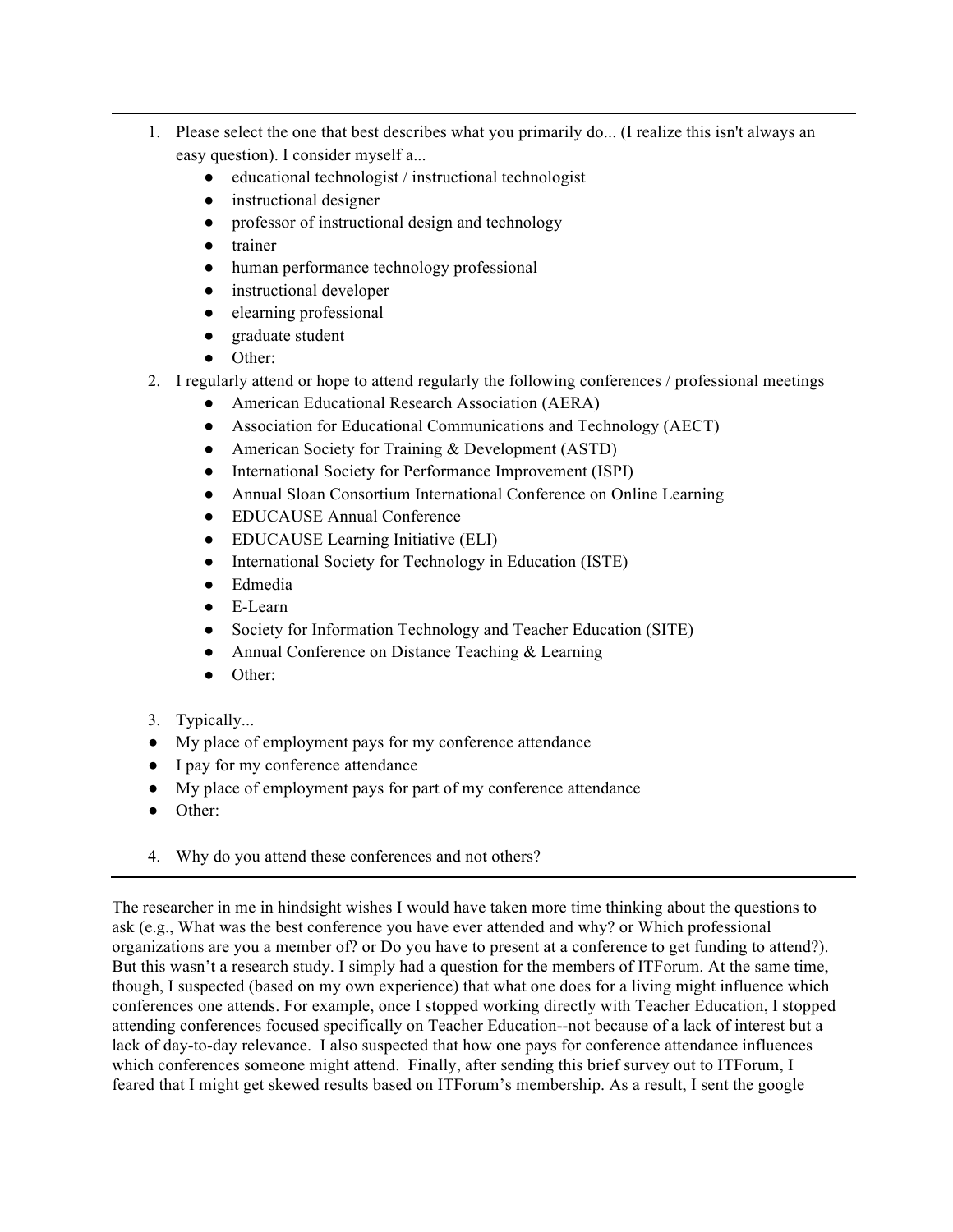- 1. Please select the one that best describes what you primarily do... (I realize this isn't always an easy question). I consider myself a...
	- educational technologist / instructional technologist
	- instructional designer
	- professor of instructional design and technology
	- trainer
	- human performance technology professional
	- instructional developer
	- elearning professional
	- graduate student
	- Other:
- 2. I regularly attend or hope to attend regularly the following conferences / professional meetings
	- American Educational Research Association (AERA)
	- Association for Educational Communications and Technology (AECT)
	- American Society for Training & Development (ASTD)
	- International Society for Performance Improvement (ISPI)
	- Annual Sloan Consortium International Conference on Online Learning
	- EDUCAUSE Annual Conference
	- EDUCAUSE Learning Initiative (ELI)
	- International Society for Technology in Education (ISTE)
	- Edmedia
	- E-Learn
	- Society for Information Technology and Teacher Education (SITE)
	- Annual Conference on Distance Teaching & Learning
	- Other:
- 3. Typically...
- My place of employment pays for my conference attendance
- I pay for my conference attendance
- My place of employment pays for part of my conference attendance
- Other:
- 4. Why do you attend these conferences and not others?

The researcher in me in hindsight wishes I would have taken more time thinking about the questions to ask (e.g., What was the best conference you have ever attended and why? or Which professional organizations are you a member of? or Do you have to present at a conference to get funding to attend?). But this wasn't a research study. I simply had a question for the members of ITForum. At the same time, though, I suspected (based on my own experience) that what one does for a living might influence which conferences one attends. For example, once I stopped working directly with Teacher Education, I stopped attending conferences focused specifically on Teacher Education--not because of a lack of interest but a lack of day-to-day relevance. I also suspected that how one pays for conference attendance influences which conferences someone might attend. Finally, after sending this brief survey out to ITForum, I feared that I might get skewed results based on ITForum's membership. As a result, I sent the google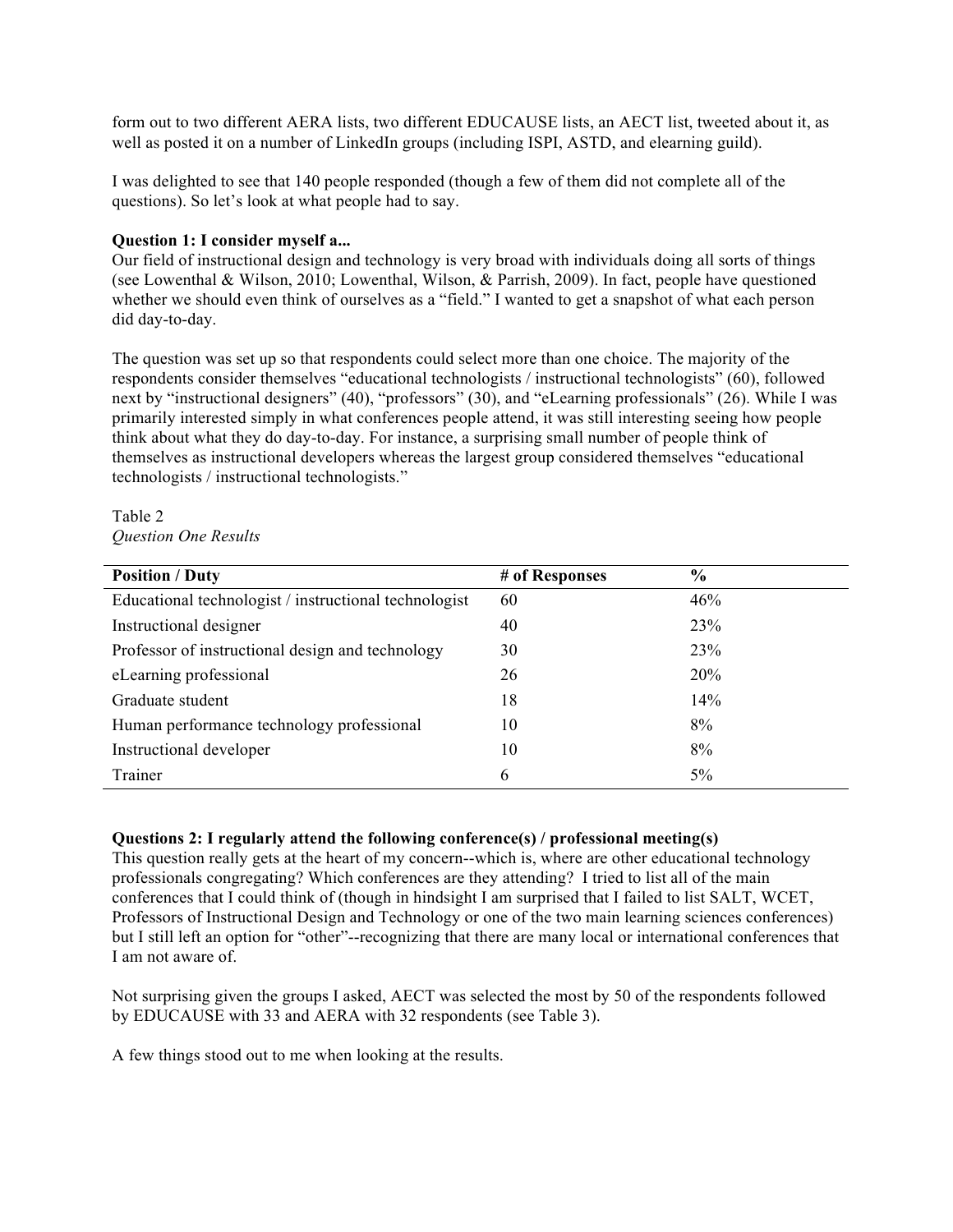form out to two different AERA lists, two different EDUCAUSE lists, an AECT list, tweeted about it, as well as posted it on a number of LinkedIn groups (including ISPI, ASTD, and elearning guild).

I was delighted to see that 140 people responded (though a few of them did not complete all of the questions). So let's look at what people had to say.

#### **Question 1: I consider myself a...**

Our field of instructional design and technology is very broad with individuals doing all sorts of things (see Lowenthal & Wilson, 2010; Lowenthal, Wilson, & Parrish, 2009). In fact, people have questioned whether we should even think of ourselves as a "field." I wanted to get a snapshot of what each person did day-to-day.

The question was set up so that respondents could select more than one choice. The majority of the respondents consider themselves "educational technologists / instructional technologists" (60), followed next by "instructional designers" (40), "professors" (30), and "eLearning professionals" (26). While I was primarily interested simply in what conferences people attend, it was still interesting seeing how people think about what they do day-to-day. For instance, a surprising small number of people think of themselves as instructional developers whereas the largest group considered themselves "educational technologists / instructional technologists."

#### Table 2 *Question One Results*

| <b>Position / Duty</b>                                | # of Responses | $\frac{0}{0}$ |
|-------------------------------------------------------|----------------|---------------|
| Educational technologist / instructional technologist | 60             | 46%           |
| Instructional designer                                | 40             | 23%           |
| Professor of instructional design and technology      | 30             | 23%           |
| eLearning professional                                | 26             | 20%           |
| Graduate student                                      | 18             | 14%           |
| Human performance technology professional             | 10             | 8%            |
| Instructional developer                               | 10             | 8%            |
| Trainer                                               | 6              | $5\%$         |

#### **Questions 2: I regularly attend the following conference(s) / professional meeting(s)**

This question really gets at the heart of my concern--which is, where are other educational technology professionals congregating? Which conferences are they attending? I tried to list all of the main conferences that I could think of (though in hindsight I am surprised that I failed to list SALT, WCET, Professors of Instructional Design and Technology or one of the two main learning sciences conferences) but I still left an option for "other"--recognizing that there are many local or international conferences that I am not aware of.

Not surprising given the groups I asked, AECT was selected the most by 50 of the respondents followed by EDUCAUSE with 33 and AERA with 32 respondents (see Table 3).

A few things stood out to me when looking at the results.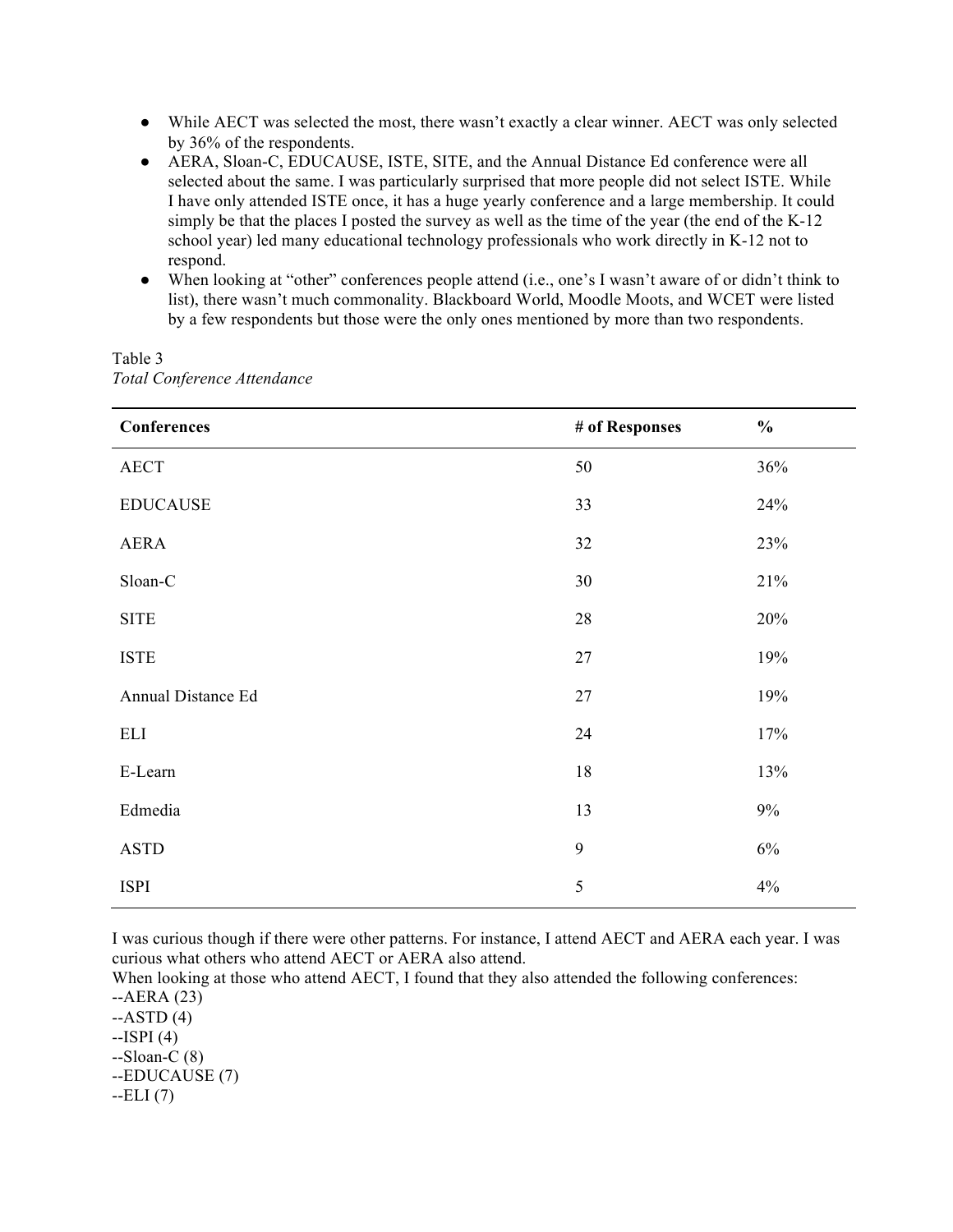- While AECT was selected the most, there wasn't exactly a clear winner. AECT was only selected by 36% of the respondents.
- AERA, Sloan-C, EDUCAUSE, ISTE, SITE, and the Annual Distance Ed conference were all selected about the same. I was particularly surprised that more people did not select ISTE. While I have only attended ISTE once, it has a huge yearly conference and a large membership. It could simply be that the places I posted the survey as well as the time of the year (the end of the K-12 school year) led many educational technology professionals who work directly in K-12 not to respond.
- When looking at "other" conferences people attend (i.e., one's I wasn't aware of or didn't think to list), there wasn't much commonality. Blackboard World, Moodle Moots, and WCET were listed by a few respondents but those were the only ones mentioned by more than two respondents.

| Conferences        | # of Responses | $\frac{0}{0}$ |
|--------------------|----------------|---------------|
| AECT               | 50             | 36%           |
| <b>EDUCAUSE</b>    | 33             | 24%           |
| AERA               | 32             | 23%           |
| Sloan-C            | 30             | 21%           |
| <b>SITE</b>        | 28             | 20%           |
| <b>ISTE</b>        | $27\,$         | 19%           |
| Annual Distance Ed | $27\,$         | 19%           |
| ELI                | 24             | 17%           |
| E-Learn            | 18             | 13%           |
| Edmedia            | 13             | $9\%$         |
| <b>ASTD</b>        | 9              | $6\%$         |
| <b>ISPI</b>        | 5              | $4\%$         |

Table 3 *Total Conference Attendance*

I was curious though if there were other patterns. For instance, I attend AECT and AERA each year. I was curious what others who attend AECT or AERA also attend.

When looking at those who attend AECT, I found that they also attended the following conferences: --AERA (23)

 $-ASTD(4)$  $-ISPI(4)$  $-S loan-C(8)$ --EDUCAUSE (7) --ELI (7)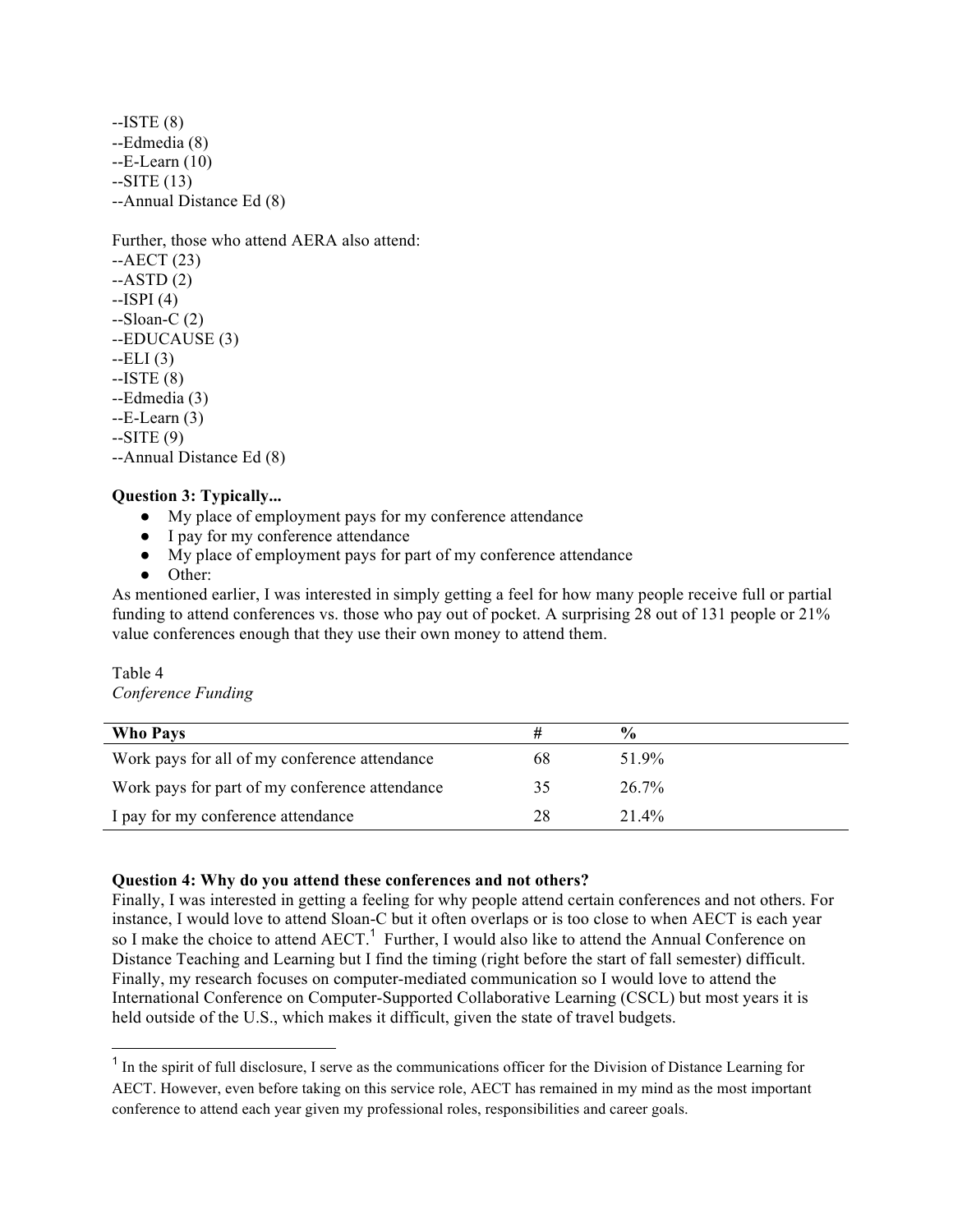--ISTE (8) --Edmedia (8) --E-Learn (10)  $-SITE(13)$ --Annual Distance Ed (8)

Further, those who attend AERA also attend:  $-AECT (23)$  $-ASTD(2)$  $-ISPI(4)$ --Sloan-C (2) --EDUCAUSE (3)  $-ELI(3)$ --ISTE (8) --Edmedia (3)  $-E-Learn(3)$  $-SITE(9)$ --Annual Distance Ed (8)

#### **Question 3: Typically...**

- My place of employment pays for my conference attendance
- I pay for my conference attendance
- My place of employment pays for part of my conference attendance
- Other:

As mentioned earlier, I was interested in simply getting a feel for how many people receive full or partial funding to attend conferences vs. those who pay out of pocket. A surprising 28 out of 131 people or 21% value conferences enough that they use their own money to attend them.

# Table 4

*Conference Funding*

| <b>Who Pays</b>                                |    | $\frac{0}{0}$ |
|------------------------------------------------|----|---------------|
| Work pays for all of my conference attendance  | 68 | 51 9%         |
| Work pays for part of my conference attendance | 35 | $26.7\%$      |
| I pay for my conference attendance             | 28 | $21.4\%$      |

#### **Question 4: Why do you attend these conferences and not others?**

Finally, I was interested in getting a feeling for why people attend certain conferences and not others. For instance, I would love to attend Sloan-C but it often overlaps or is too close to when AECT is each year so I make the choice to attend AECT.<sup>1</sup> Further, I would also like to attend the Annual Conference on Distance Teaching and Learning but I find the timing (right before the start of fall semester) difficult. Finally, my research focuses on computer-mediated communication so I would love to attend the International Conference on Computer-Supported Collaborative Learning (CSCL) but most years it is held outside of the U.S., which makes it difficult, given the state of travel budgets.

 $<sup>1</sup>$  In the spirit of full disclosure. I serve as the communications officer for the Division of Distance Learning for</sup> AECT. However, even before taking on this service role, AECT has remained in my mind as the most important conference to attend each year given my professional roles, responsibilities and career goals.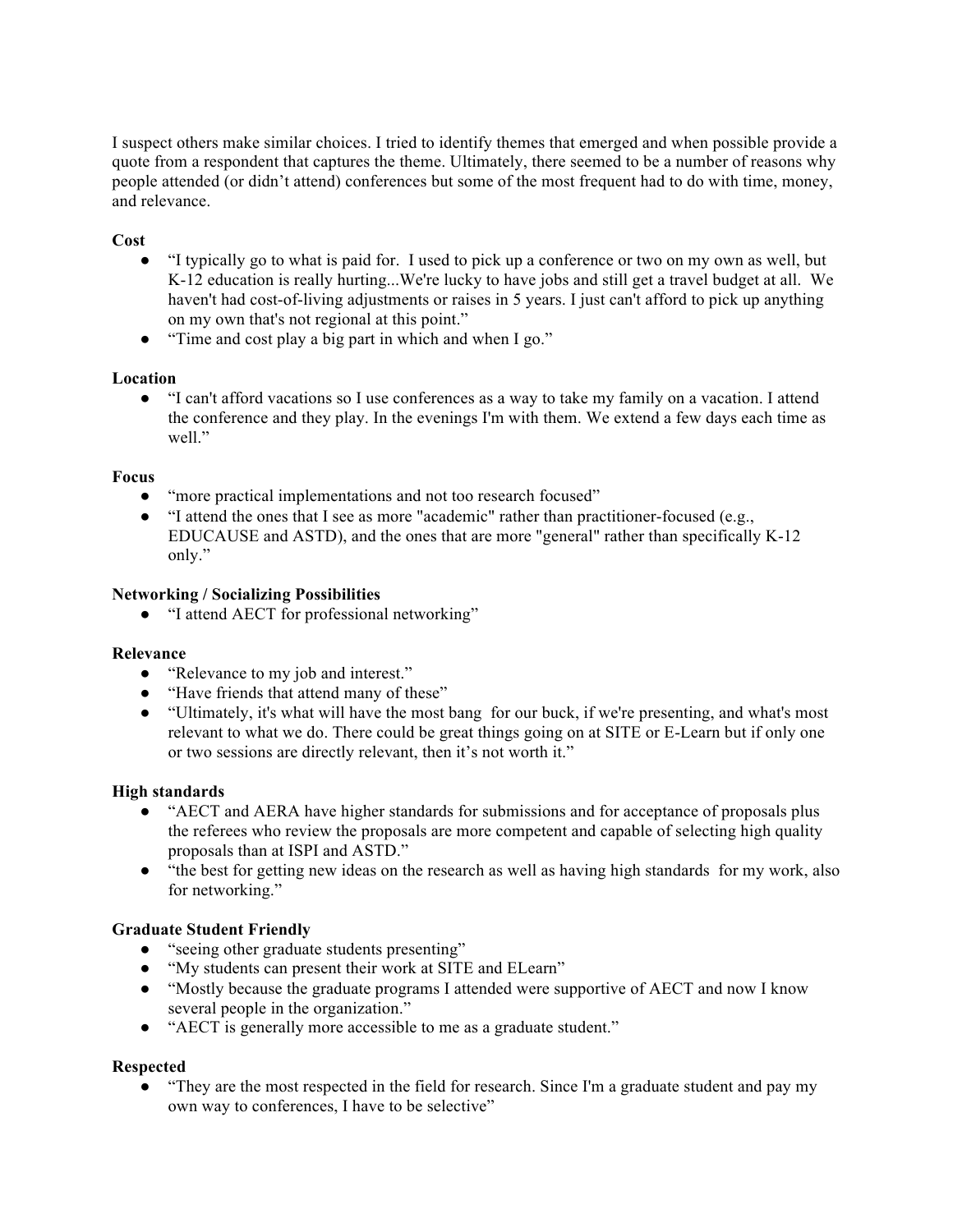I suspect others make similar choices. I tried to identify themes that emerged and when possible provide a quote from a respondent that captures the theme. Ultimately, there seemed to be a number of reasons why people attended (or didn't attend) conferences but some of the most frequent had to do with time, money, and relevance.

## **Cost**

- "I typically go to what is paid for. I used to pick up a conference or two on my own as well, but K-12 education is really hurting...We're lucky to have jobs and still get a travel budget at all. We haven't had cost-of-living adjustments or raises in 5 years. I just can't afford to pick up anything on my own that's not regional at this point."
- "Time and cost play a big part in which and when I go."

## **Location**

● "I can't afford vacations so I use conferences as a way to take my family on a vacation. I attend the conference and they play. In the evenings I'm with them. We extend a few days each time as well."

#### **Focus**

- "more practical implementations and not too research focused"
- "I attend the ones that I see as more "academic" rather than practitioner-focused (e.g., EDUCAUSE and ASTD), and the ones that are more "general" rather than specifically K-12 only."

#### **Networking / Socializing Possibilities**

● "I attend AECT for professional networking"

#### **Relevance**

- "Relevance to my job and interest."
- "Have friends that attend many of these"
- "Ultimately, it's what will have the most bang for our buck, if we're presenting, and what's most relevant to what we do. There could be great things going on at SITE or E-Learn but if only one or two sessions are directly relevant, then it's not worth it."

#### **High standards**

- "AECT and AERA have higher standards for submissions and for acceptance of proposals plus the referees who review the proposals are more competent and capable of selecting high quality proposals than at ISPI and ASTD."
- "the best for getting new ideas on the research as well as having high standards for my work, also for networking."

#### **Graduate Student Friendly**

- "seeing other graduate students presenting"
- "My students can present their work at SITE and ELearn"
- "Mostly because the graduate programs I attended were supportive of AECT and now I know several people in the organization."
- "AECT is generally more accessible to me as a graduate student."

#### **Respected**

• "They are the most respected in the field for research. Since I'm a graduate student and pay my own way to conferences, I have to be selective"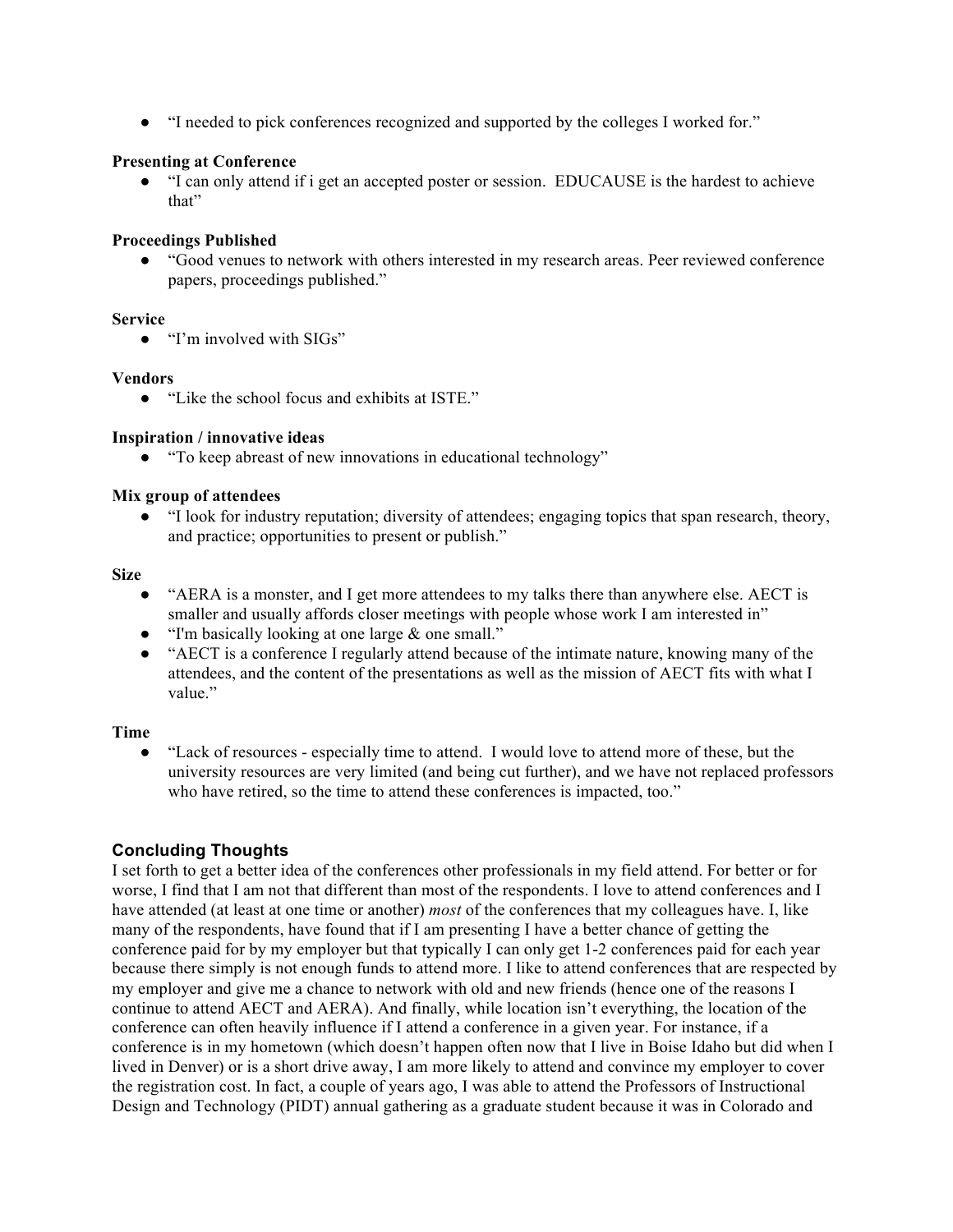● "I needed to pick conferences recognized and supported by the colleges I worked for."

## **Presenting at Conference**

● "I can only attend if i get an accepted poster or session. EDUCAUSE is the hardest to achieve that"

## **Proceedings Published**

● "Good venues to network with others interested in my research areas. Peer reviewed conference papers, proceedings published."

#### **Service**

● "I'm involved with SIGs"

## **Vendors**

● "Like the school focus and exhibits at ISTE."

## **Inspiration / innovative ideas**

● "To keep abreast of new innovations in educational technology"

## **Mix group of attendees**

● "I look for industry reputation; diversity of attendees; engaging topics that span research, theory, and practice; opportunities to present or publish."

#### **Size**

- "AERA is a monster, and I get more attendees to my talks there than anywhere else. AECT is smaller and usually affords closer meetings with people whose work I am interested in"
- "I'm basically looking at one large & one small."
- "AECT is a conference I regularly attend because of the intimate nature, knowing many of the attendees, and the content of the presentations as well as the mission of AECT fits with what I value."

# **Time**

"Lack of resources - especially time to attend. I would love to attend more of these, but the university resources are very limited (and being cut further), and we have not replaced professors who have retired, so the time to attend these conferences is impacted, too."

# **Concluding Thoughts**

I set forth to get a better idea of the conferences other professionals in my field attend. For better or for worse, I find that I am not that different than most of the respondents. I love to attend conferences and I have attended (at least at one time or another) *most* of the conferences that my colleagues have. I, like many of the respondents, have found that if I am presenting I have a better chance of getting the conference paid for by my employer but that typically I can only get 1-2 conferences paid for each year because there simply is not enough funds to attend more. I like to attend conferences that are respected by my employer and give me a chance to network with old and new friends (hence one of the reasons I continue to attend AECT and AERA). And finally, while location isn't everything, the location of the conference can often heavily influence if I attend a conference in a given year. For instance, if a conference is in my hometown (which doesn't happen often now that I live in Boise Idaho but did when I lived in Denver) or is a short drive away, I am more likely to attend and convince my employer to cover the registration cost. In fact, a couple of years ago, I was able to attend the Professors of Instructional Design and Technology (PIDT) annual gathering as a graduate student because it was in Colorado and